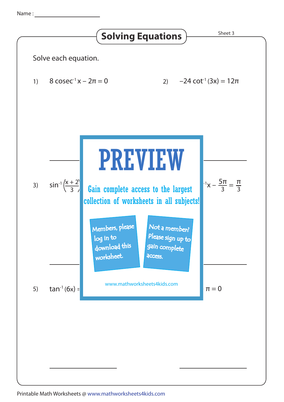